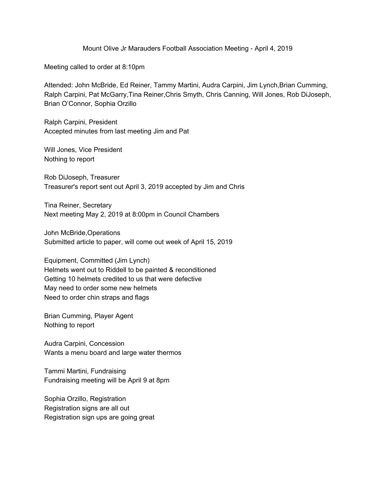Mount Olive Jr Marauders Football Association Meeting - April 4, 2019

Meeting called to order at 8:10pm

Attended: John McBride, Ed Reiner, Tammy Martini, Audra Carpini, Jim Lynch,Brian Cumming, Ralph Carpini, Pat McGarry,Tina Reiner,Chris Smyth, Chris Canning, Will Jones, Rob DiJoseph, Brian O'Connor, Sophia Orzillo

Ralph Carpini, President Accepted minutes from last meeting Jim and Pat

Will Jones, Vice President Nothing to report

Rob DiJoseph, Treasurer Treasurer's report sent out April 3, 2019 accepted by Jim and Chris

Tina Reiner, Secretary Next meeting May 2, 2019 at 8:00pm in Council Chambers

John McBride,Operations Submitted article to paper, will come out week of April 15, 2019

Equipment, Committed (Jim Lynch) Helmets went out to Riddell to be painted & reconditioned Getting 10 helmets credited to us that were defective May need to order some new helmets Need to order chin straps and flags

Brian Cumming, Player Agent Nothing to report

Audra Carpini, Concession Wants a menu board and large water thermos

Tammi Martini, Fundraising Fundraising meeting will be April 9 at 8pm

Sophia Orzillo, Registration Registration signs are all out Registration sign ups are going great